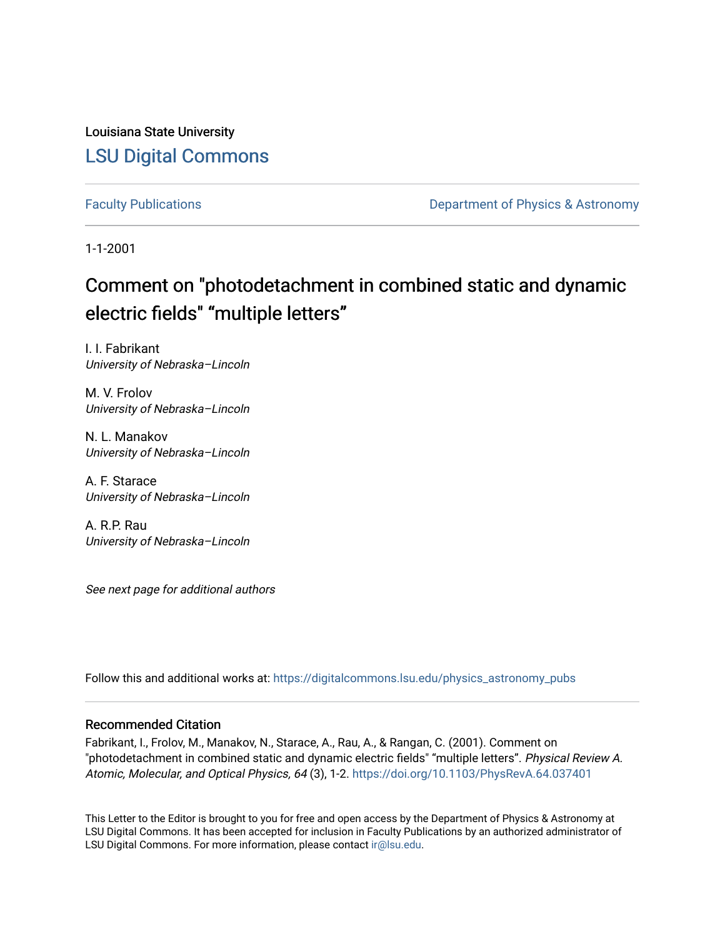Louisiana State University [LSU Digital Commons](https://digitalcommons.lsu.edu/)

[Faculty Publications](https://digitalcommons.lsu.edu/physics_astronomy_pubs) **Exercise 2 and Table 2 and Table 2 and Table 2 and Table 2 and Table 2 and Table 2 and Table 2 and Table 2 and Table 2 and Table 2 and Table 2 and Table 2 and Table 2 and Table 2 and Table 2 and Table** 

1-1-2001

# Comment on "photodetachment in combined static and dynamic electric fields" "multiple letters"

I. I. Fabrikant University of Nebraska–Lincoln

M. V. Frolov University of Nebraska–Lincoln

N. L. Manakov University of Nebraska–Lincoln

A. F. Starace University of Nebraska–Lincoln

A. R.P. Rau University of Nebraska–Lincoln

See next page for additional authors

Follow this and additional works at: [https://digitalcommons.lsu.edu/physics\\_astronomy\\_pubs](https://digitalcommons.lsu.edu/physics_astronomy_pubs?utm_source=digitalcommons.lsu.edu%2Fphysics_astronomy_pubs%2F4533&utm_medium=PDF&utm_campaign=PDFCoverPages) 

### Recommended Citation

Fabrikant, I., Frolov, M., Manakov, N., Starace, A., Rau, A., & Rangan, C. (2001). Comment on "photodetachment in combined static and dynamic electric fields" "multiple letters". Physical Review A. Atomic, Molecular, and Optical Physics, 64 (3), 1-2. <https://doi.org/10.1103/PhysRevA.64.037401>

This Letter to the Editor is brought to you for free and open access by the Department of Physics & Astronomy at LSU Digital Commons. It has been accepted for inclusion in Faculty Publications by an authorized administrator of LSU Digital Commons. For more information, please contact [ir@lsu.edu.](mailto:ir@lsu.edu)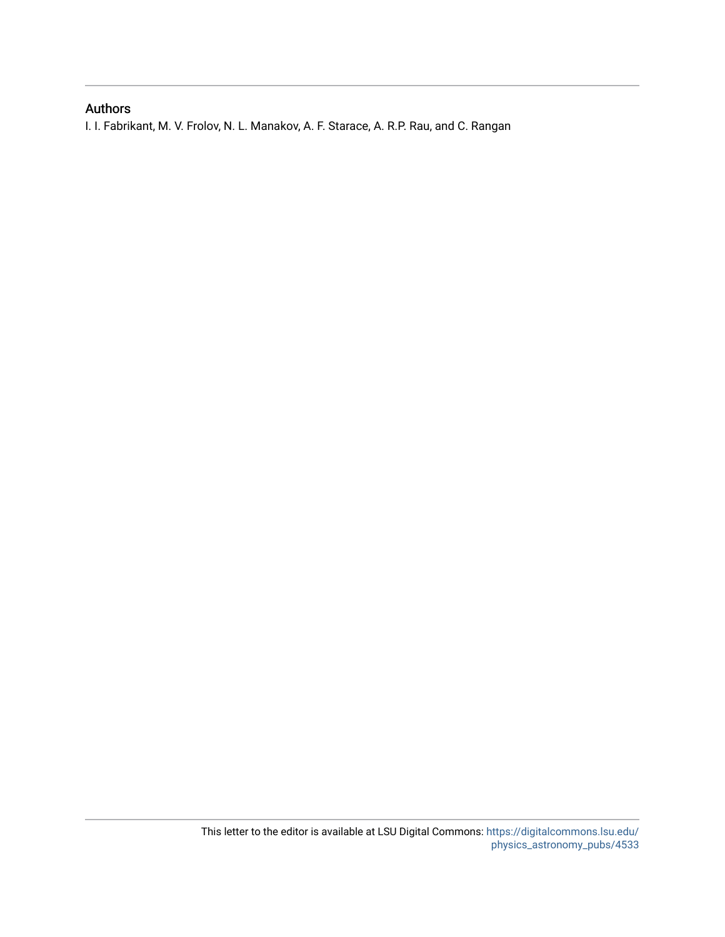### Authors

I. I. Fabrikant, M. V. Frolov, N. L. Manakov, A. F. Starace, A. R.P. Rau, and C. Rangan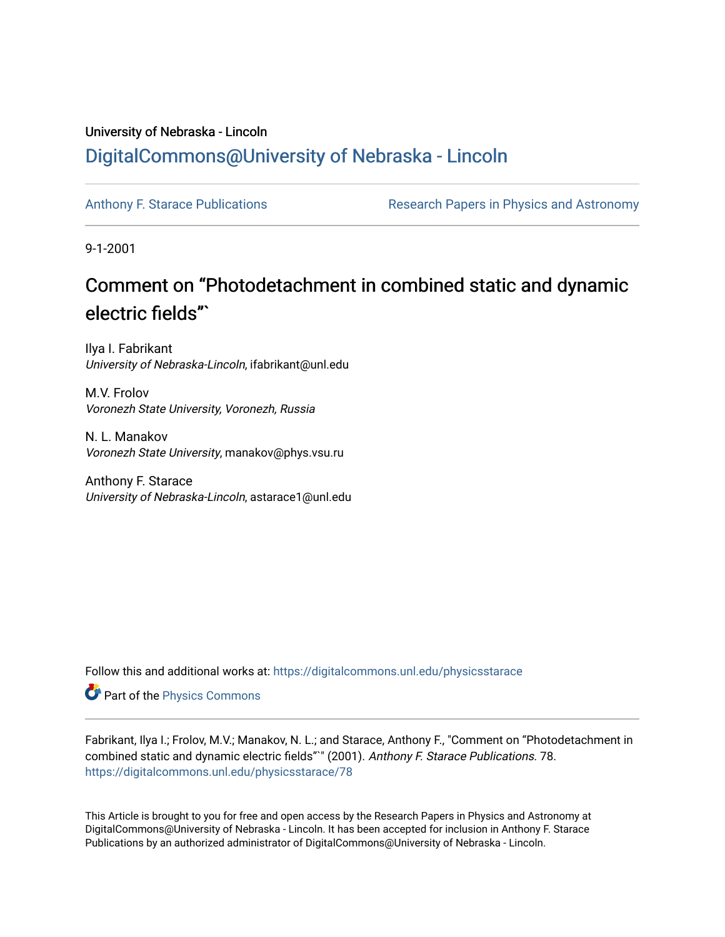## University of Nebraska - Lincoln [DigitalCommons@University of Nebraska - Lincoln](https://digitalcommons.unl.edu/)

[Anthony F. Starace Publications](https://digitalcommons.unl.edu/physicsstarace) Research Papers in Physics and Astronomy

9-1-2001

# Comment on "Photodetachment in combined static and dynamic electric fields"`

Ilya I. Fabrikant University of Nebraska-Lincoln, ifabrikant@unl.edu

M.V. Frolov Voronezh State University, Voronezh, Russia

N. L. Manakov Voronezh State University, manakov@phys.vsu.ru

Anthony F. Starace University of Nebraska-Lincoln, astarace1@unl.edu

Follow this and additional works at: [https://digitalcommons.unl.edu/physicsstarace](https://digitalcommons.unl.edu/physicsstarace?utm_source=digitalcommons.unl.edu%2Fphysicsstarace%2F78&utm_medium=PDF&utm_campaign=PDFCoverPages)

Part of the [Physics Commons](http://network.bepress.com/hgg/discipline/193?utm_source=digitalcommons.unl.edu%2Fphysicsstarace%2F78&utm_medium=PDF&utm_campaign=PDFCoverPages)

Fabrikant, Ilya I.; Frolov, M.V.; Manakov, N. L.; and Starace, Anthony F., "Comment on "Photodetachment in combined static and dynamic electric fields"" (2001). Anthony F. Starace Publications. 78. [https://digitalcommons.unl.edu/physicsstarace/78](https://digitalcommons.unl.edu/physicsstarace/78?utm_source=digitalcommons.unl.edu%2Fphysicsstarace%2F78&utm_medium=PDF&utm_campaign=PDFCoverPages) 

This Article is brought to you for free and open access by the Research Papers in Physics and Astronomy at DigitalCommons@University of Nebraska - Lincoln. It has been accepted for inclusion in Anthony F. Starace Publications by an authorized administrator of DigitalCommons@University of Nebraska - Lincoln.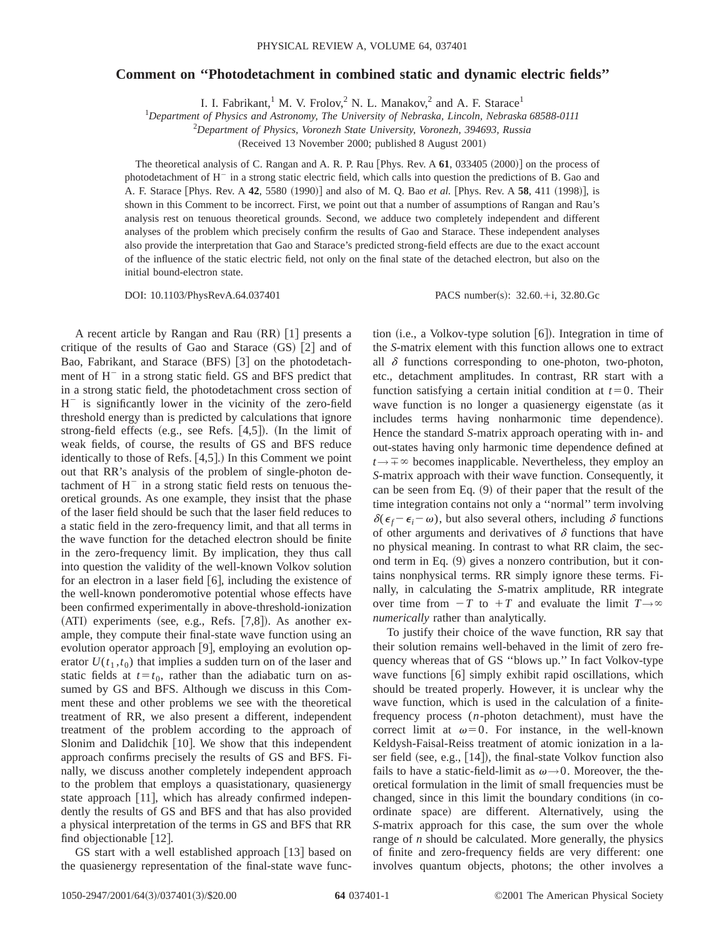#### **Comment on ''Photodetachment in combined static and dynamic electric fields''**

I. I. Fabrikant,<sup>1</sup> M. V. Frolov,<sup>2</sup> N. L. Manakov,<sup>2</sup> and A. F. Starace<sup>1</sup>

1 *Department of Physics and Astronomy, The University of Nebraska, Lincoln, Nebraska 68588-0111*

2 *Department of Physics, Voronezh State University, Voronezh, 394693, Russia*

(Received 13 November 2000; published 8 August 2001)

The theoretical analysis of C. Rangan and A. R. P. Rau  $[Phys. Rev. A 61, 033405 (2000)]$  on the process of photodetachment of  $H^-$  in a strong static electric field, which calls into question the predictions of B. Gao and A. F. Starace [Phys. Rev. A 42, 5580 (1990)] and also of M. Q. Bao *et al.* [Phys. Rev. A 58, 411 (1998)], is shown in this Comment to be incorrect. First, we point out that a number of assumptions of Rangan and Rau's analysis rest on tenuous theoretical grounds. Second, we adduce two completely independent and different analyses of the problem which precisely confirm the results of Gao and Starace. These independent analyses also provide the interpretation that Gao and Starace's predicted strong-field effects are due to the exact account of the influence of the static electric field, not only on the final state of the detached electron, but also on the initial bound-electron state.

DOI: 10.1103/PhysRevA.64.037401 PACS number(s): 32.60.+i, 32.80.Gc

A recent article by Rangan and Rau  $(RR)$  [1] presents a critique of the results of Gao and Starace  $(GS)$  [2] and of Bao, Fabrikant, and Starace (BFS) [3] on the photodetachment of  $H^-$  in a strong static field. GS and BFS predict that in a strong static field, the photodetachment cross section of  $H^-$  is significantly lower in the vicinity of the zero-field threshold energy than is predicted by calculations that ignore strong-field effects (e.g., see Refs.  $[4,5]$ ). (In the limit of weak fields, of course, the results of GS and BFS reduce identically to those of Refs.  $[4,5]$ .) In this Comment we point out that RR's analysis of the problem of single-photon detachment of  $H^-$  in a strong static field rests on tenuous theoretical grounds. As one example, they insist that the phase of the laser field should be such that the laser field reduces to a static field in the zero-frequency limit, and that all terms in the wave function for the detached electron should be finite in the zero-frequency limit. By implication, they thus call into question the validity of the well-known Volkov solution for an electron in a laser field  $\lceil 6 \rceil$ , including the existence of the well-known ponderomotive potential whose effects have been confirmed experimentally in above-threshold-ionization  $(ATI)$  experiments (see, e.g., Refs.  $[7,8]$ ). As another example, they compute their final-state wave function using an evolution operator approach  $[9]$ , employing an evolution operator  $U(t_1, t_0)$  that implies a sudden turn on of the laser and static fields at  $t=t_0$ , rather than the adiabatic turn on assumed by GS and BFS. Although we discuss in this Comment these and other problems we see with the theoretical treatment of RR, we also present a different, independent treatment of the problem according to the approach of Slonim and Dalidchik  $[10]$ . We show that this independent approach confirms precisely the results of GS and BFS. Finally, we discuss another completely independent approach to the problem that employs a quasistationary, quasienergy state approach  $[11]$ , which has already confirmed independently the results of GS and BFS and that has also provided a physical interpretation of the terms in GS and BFS that RR find objectionable  $[12]$ .

GS start with a well established approach  $[13]$  based on the quasienergy representation of the final-state wave function  $(i.e., a Volkov-type solution [6])$ . Integration in time of the *S*-matrix element with this function allows one to extract all  $\delta$  functions corresponding to one-photon, two-photon, etc., detachment amplitudes. In contrast, RR start with a function satisfying a certain initial condition at  $t=0$ . Their wave function is no longer a quasienergy eigenstate (as it includes terms having nonharmonic time dependence). Hence the standard *S*-matrix approach operating with in- and out-states having only harmonic time dependence defined at  $t \rightarrow \pm \infty$  becomes inapplicable. Nevertheless, they employ an *S*-matrix approach with their wave function. Consequently, it can be seen from Eq.  $(9)$  of their paper that the result of the time integration contains not only a ''normal'' term involving  $\delta(\epsilon_f - \epsilon_i - \omega)$ , but also several others, including  $\delta$  functions of other arguments and derivatives of  $\delta$  functions that have no physical meaning. In contrast to what RR claim, the second term in Eq.  $(9)$  gives a nonzero contribution, but it contains nonphysical terms. RR simply ignore these terms. Finally, in calculating the *S*-matrix amplitude, RR integrate over time from  $-T$  to  $+T$  and evaluate the limit  $T \rightarrow \infty$ *numerically* rather than analytically.

To justify their choice of the wave function, RR say that their solution remains well-behaved in the limit of zero frequency whereas that of GS ''blows up.'' In fact Volkov-type wave functions  $[6]$  simply exhibit rapid oscillations, which should be treated properly. However, it is unclear why the wave function, which is used in the calculation of a finitefrequency process  $(n$ -photon detachment), must have the correct limit at  $\omega=0$ . For instance, in the well-known Keldysh-Faisal-Reiss treatment of atomic ionization in a laser field (see, e.g.,  $[14]$ ), the final-state Volkov function also fails to have a static-field-limit as  $\omega \rightarrow 0$ . Moreover, the theoretical formulation in the limit of small frequencies must be changed, since in this limit the boundary conditions (in coordinate space) are different. Alternatively, using the *S*-matrix approach for this case, the sum over the whole range of *n* should be calculated. More generally, the physics of finite and zero-frequency fields are very different: one involves quantum objects, photons; the other involves a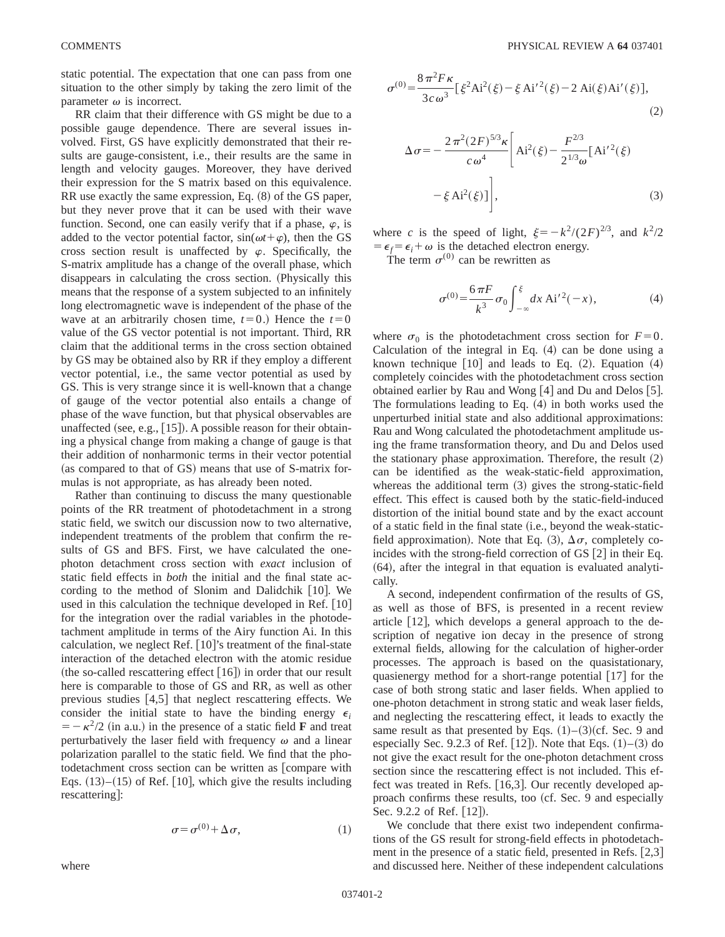static potential. The expectation that one can pass from one situation to the other simply by taking the zero limit of the parameter  $\omega$  is incorrect.

RR claim that their difference with GS might be due to a possible gauge dependence. There are several issues involved. First, GS have explicitly demonstrated that their results are gauge-consistent, i.e., their results are the same in length and velocity gauges. Moreover, they have derived their expression for the S matrix based on this equivalence. RR use exactly the same expression, Eq.  $(8)$  of the GS paper, but they never prove that it can be used with their wave function. Second, one can easily verify that if a phase,  $\varphi$ , is added to the vector potential factor,  $sin(\omega t + \varphi)$ , then the GS cross section result is unaffected by  $\varphi$ . Specifically, the S-matrix amplitude has a change of the overall phase, which disappears in calculating the cross section. (Physically this means that the response of a system subjected to an infinitely long electromagnetic wave is independent of the phase of the wave at an arbitrarily chosen time,  $t=0$ .) Hence the  $t=0$ value of the GS vector potential is not important. Third, RR claim that the additional terms in the cross section obtained by GS may be obtained also by RR if they employ a different vector potential, i.e., the same vector potential as used by GS. This is very strange since it is well-known that a change of gauge of the vector potential also entails a change of phase of the wave function, but that physical observables are unaffected (see, e.g.,  $[15]$ ). A possible reason for their obtaining a physical change from making a change of gauge is that their addition of nonharmonic terms in their vector potential (as compared to that of  $GS$ ) means that use of S-matrix formulas is not appropriate, as has already been noted.

Rather than continuing to discuss the many questionable points of the RR treatment of photodetachment in a strong static field, we switch our discussion now to two alternative, independent treatments of the problem that confirm the results of GS and BFS. First, we have calculated the onephoton detachment cross section with *exact* inclusion of static field effects in *both* the initial and the final state according to the method of Slonim and Dalidchik  $[10]$ . We used in this calculation the technique developed in Ref.  $[10]$ for the integration over the radial variables in the photodetachment amplitude in terms of the Airy function Ai. In this calculation, we neglect Ref.  $[10]'$ 's treatment of the final-state interaction of the detached electron with the atomic residue (the so-called rescattering effect  $[16]$ ) in order that our result here is comparable to those of GS and RR, as well as other previous studies  $[4,5]$  that neglect rescattering effects. We consider the initial state to have the binding energy  $\epsilon_i$  $= -\kappa^2/2$  (in a.u.) in the presence of a static field **F** and treat perturbatively the laser field with frequency  $\omega$  and a linear polarization parallel to the static field. We find that the photodetachment cross section can be written as  $[compare with]$ Eqs.  $(13)$ – $(15)$  of Ref. [10], which give the results including rescattering:

$$
\sigma = \sigma^{(0)} + \Delta \sigma,\tag{1}
$$

$$
\sigma^{(0)} = \frac{8\pi^2 F\kappa}{3c\omega^3} \left[ \xi^2 Ai^2(\xi) - \xi Ai^{\prime 2}(\xi) - 2 Ai(\xi) Ai'(\xi) \right],\tag{2}
$$

$$
\Delta \sigma = -\frac{2\pi^2 (2F)^{5/3} \kappa}{c \omega^4} \left[ \text{Ai}^2(\xi) - \frac{F^{2/3}}{2^{1/3} \omega} [\text{Ai}'^2(\xi) - \xi \text{Ai}^2(\xi)] \right],
$$
\n(3)

where *c* is the speed of light,  $\xi=-k^2/(2F)^{2/3}$ , and  $k^2/2$  $= \epsilon_f = \epsilon_i + \omega$  is the detached electron energy.

The term  $\sigma^{(0)}$  can be rewritten as

$$
\sigma^{(0)} = \frac{6\,\pi F}{k^3} \,\sigma_0 \int_{-\infty}^{\xi} dx \, \text{Ai}'^2(-x),\tag{4}
$$

where  $\sigma_0$  is the photodetachment cross section for  $F=0$ . Calculation of the integral in Eq.  $(4)$  can be done using a known technique  $[10]$  and leads to Eq.  $(2)$ . Equation  $(4)$ completely coincides with the photodetachment cross section obtained earlier by Rau and Wong  $[4]$  and Du and Delos  $[5]$ . The formulations leading to Eq.  $(4)$  in both works used the unperturbed initial state and also additional approximations: Rau and Wong calculated the photodetachment amplitude using the frame transformation theory, and Du and Delos used the stationary phase approximation. Therefore, the result  $(2)$ can be identified as the weak-static-field approximation, whereas the additional term  $(3)$  gives the strong-static-field effect. This effect is caused both by the static-field-induced distortion of the initial bound state and by the exact account of a static field in the final state (i.e., beyond the weak-staticfield approximation). Note that Eq. (3),  $\Delta \sigma$ , completely coincides with the strong-field correction of GS  $[2]$  in their Eq.  $(64)$ , after the integral in that equation is evaluated analytically.

A second, independent confirmation of the results of GS, as well as those of BFS, is presented in a recent review article  $[12]$ , which develops a general approach to the description of negative ion decay in the presence of strong external fields, allowing for the calculation of higher-order processes. The approach is based on the quasistationary, quasienergy method for a short-range potential  $[17]$  for the case of both strong static and laser fields. When applied to one-photon detachment in strong static and weak laser fields, and neglecting the rescattering effect, it leads to exactly the same result as that presented by Eqs.  $(1)$ – $(3)$  $(cf. Sec. 9$  and especially Sec. 9.2.3 of Ref.  $[12]$ . Note that Eqs.  $(1)$ – $(3)$  do not give the exact result for the one-photon detachment cross section since the rescattering effect is not included. This effect was treated in Refs. [16,3]. Our recently developed approach confirms these results, too (cf. Sec. 9 and especially Sec. 9.2.2 of Ref.  $[12]$ .

We conclude that there exist two independent confirmations of the GS result for strong-field effects in photodetachment in the presence of a static field, presented in Refs.  $[2,3]$ and discussed here. Neither of these independent calculations